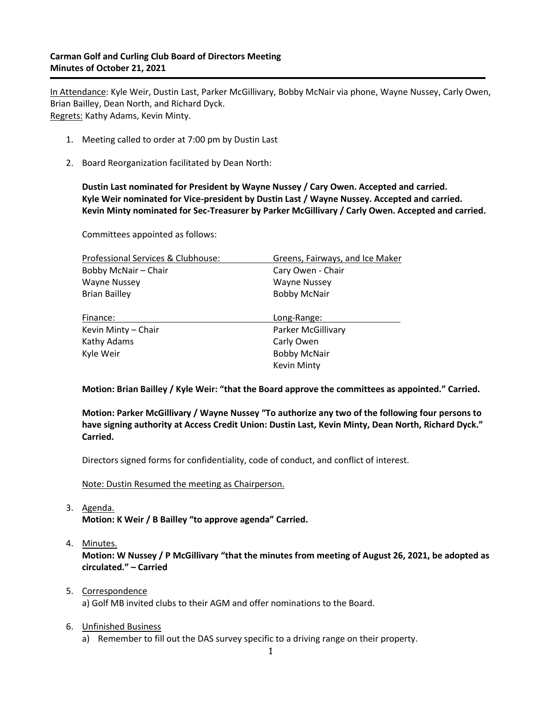# **Carman Golf and Curling Club Board of Directors Meeting Minutes of October 21, 2021**

In Attendance: Kyle Weir, Dustin Last, Parker McGillivary, Bobby McNair via phone, Wayne Nussey, Carly Owen, Brian Bailley, Dean North, and Richard Dyck. Regrets: Kathy Adams, Kevin Minty.

- 1. Meeting called to order at 7:00 pm by Dustin Last
- 2. Board Reorganization facilitated by Dean North:

**Dustin Last nominated for President by Wayne Nussey / Cary Owen. Accepted and carried. Kyle Weir nominated for Vice-president by Dustin Last / Wayne Nussey. Accepted and carried. Kevin Minty nominated for Sec-Treasurer by Parker McGillivary / Carly Owen. Accepted and carried.**

Committees appointed as follows:

| Professional Services & Clubhouse: | Greens, Fairways, and Ice Maker |
|------------------------------------|---------------------------------|
| Bobby McNair - Chair               | Cary Owen - Chair               |
| <b>Wayne Nussey</b>                | <b>Wayne Nussey</b>             |
| <b>Brian Bailley</b>               | <b>Bobby McNair</b>             |
| Finance:                           | Long-Range:                     |
| Kevin Minty - Chair                | Parker McGillivary              |
| Kathy Adams                        | Carly Owen                      |
| Kyle Weir                          | <b>Bobby McNair</b>             |
|                                    | <b>Kevin Minty</b>              |

#### **Motion: Brian Bailley / Kyle Weir: "that the Board approve the committees as appointed." Carried.**

**Motion: Parker McGillivary / Wayne Nussey "To authorize any two of the following four persons to have signing authority at Access Credit Union: Dustin Last, Kevin Minty, Dean North, Richard Dyck." Carried.**

Directors signed forms for confidentiality, code of conduct, and conflict of interest.

Note: Dustin Resumed the meeting as Chairperson.

3. Agenda.

**Motion: K Weir / B Bailley "to approve agenda" Carried.**

4. Minutes.

**Motion: W Nussey / P McGillivary "that the minutes from meeting of August 26, 2021, be adopted as circulated." – Carried**

#### 5. Correspondence

a) Golf MB invited clubs to their AGM and offer nominations to the Board.

### 6. Unfinished Business

a) Remember to fill out the DAS survey specific to a driving range on their property.